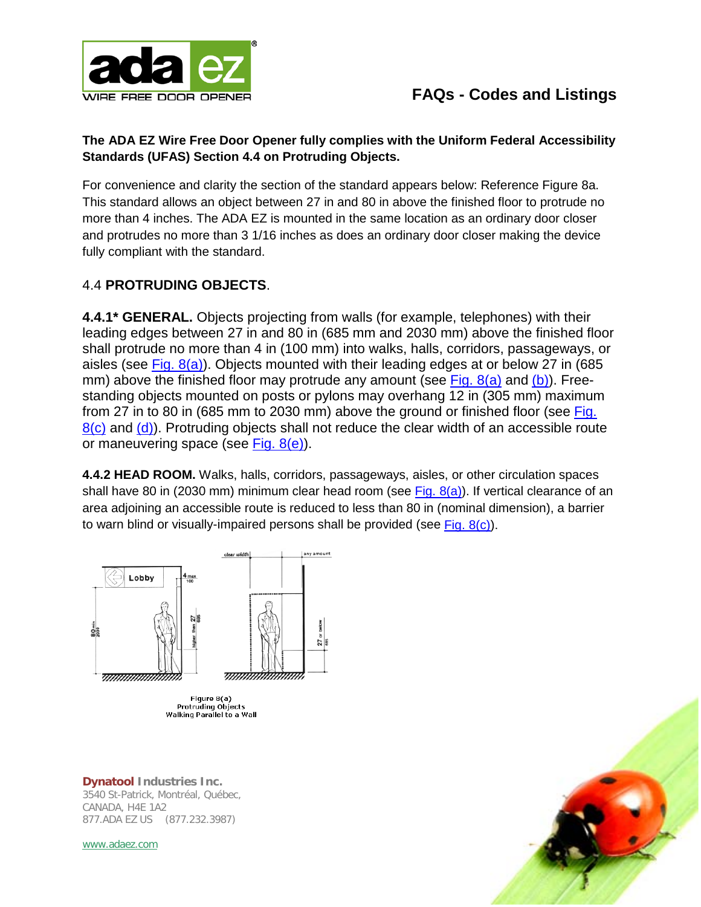

### **The ADA EZ Wire Free Door Opener fully complies with the Uniform Federal Accessibility Standards (UFAS) Section 4.4 on Protruding Objects.**

For convenience and clarity the section of the standard appears below: Reference Figure 8a. This standard allows an object between 27 in and 80 in above the finished floor to protrude no more than 4 inches. The ADA EZ is mounted in the same location as an ordinary door closer and protrudes no more than 3 1/16 inches as does an ordinary door closer making the device fully compliant with the standard.

### 4.4 **PROTRUDING OBJECTS**.

**4.4.1\* GENERAL.** Objects projecting from walls (for example, telephones) with their leading edges between 27 in and 80 in (685 mm and 2030 mm) above the finished floor shall protrude no more than 4 in (100 mm) into walks, halls, corridors, passageways, or aisles (see Fig.  $8(a)$ ). Objects mounted with their leading edges at or below 27 in (685 mm) above the finished floor may protrude any amount (see Fig.  $8(a)$  and  $(b)$ ). Freestanding objects mounted on posts or pylons may overhang 12 in (305 mm) maximum from 27 in to 80 in (685 mm to 2030 mm) above the ground or finished floor (see [Fig.](http://www.access-board.gov/ufas/ufas-html/fig8c.html)   $8(c)$  and  $(d)$ ). Protruding objects shall not reduce the clear width of an accessible route or maneuvering space (see [Fig. 8\(e\)\)](http://www.access-board.gov/ufas/ufas-html/fig8e.html).

**4.4.2 HEAD ROOM.** Walks, halls, corridors, passageways, aisles, or other circulation spaces shall have 80 in (2030 mm) minimum clear head room (see Fig.  $8(a)$ ). If vertical clearance of an area adjoining an accessible route is reduced to less than 80 in (nominal dimension), a barrier to warn blind or visually-impaired persons shall be provided (see Fig.  $8(c)$ ).



**Dynatool Industries Inc.** 3540 St-Patrick, Montréal, Québec, CANADA, H4E 1A2 877.ADA EZ US (877.232.3987)

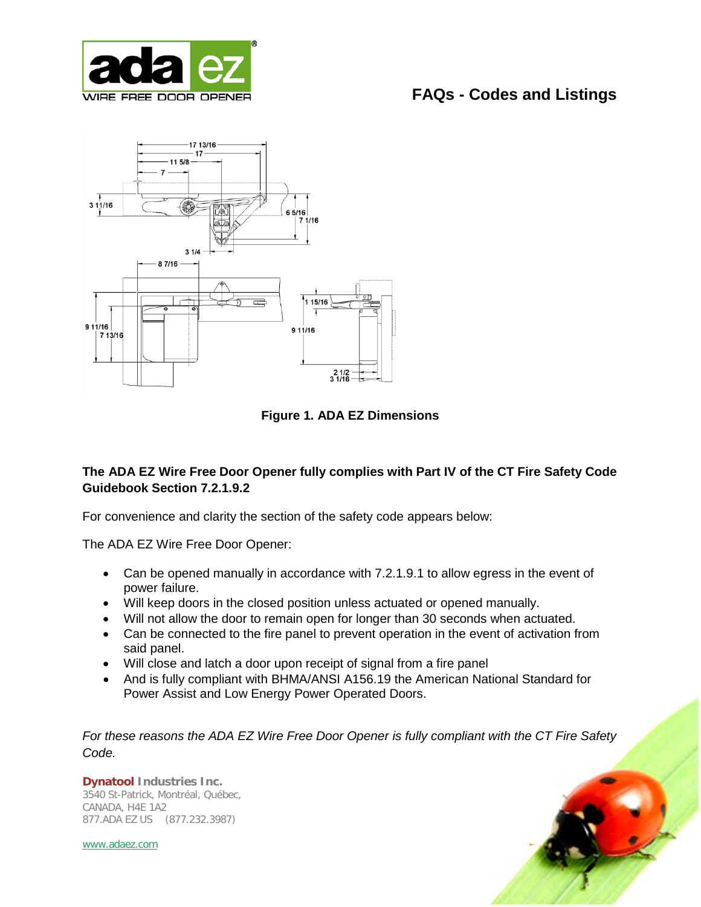



**Figure 1. ADA EZ Dimensions**

### **The ADA EZ Wire Free Door Opener fully complies with Part IV of the CT Fire Safety Code Guidebook Section 7.2.1.9.2**

For convenience and clarity the section of the safety code appears below:

The ADA EZ Wire Free Door Opener:

- Can be opened manually in accordance with 7.2.1.9.1 to allow egress in the event of power failure.
- Will keep doors in the closed position unless actuated or opened manually.
- Will not allow the door to remain open for longer than 30 seconds when actuated.
- Can be connected to the fire panel to prevent operation in the event of activation from said panel.
- Will close and latch a door upon receipt of signal from a fire panel
- And is fully compliant with BHMA/ANSI A156.19 the American National Standard for Power Assist and Low Energy Power Operated Doors.

*For these reasons the ADA EZ Wire Free Door Opener is fully compliant with the CT Fire Safety Code.*

**Dynatool Industries Inc.** 3540 St-Patrick, Montréal, Québec, CANADA, H4E 1A2 877.ADA EZ US (877.232.3987)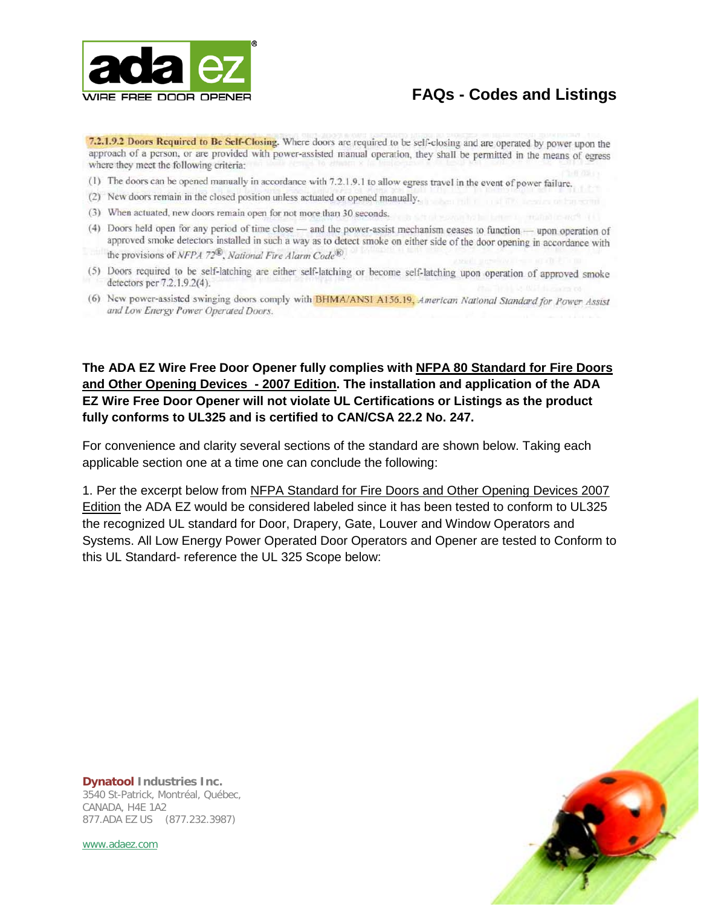

7.2.1.9.2 Doors Required to Be Self-Closing. Where doors are required to be self-closing and are operated by power upon the approach of a person, or are provided with power-assisted manual operation, they shall be permitted in the means of egress where they meet the following criteria:

- (1) The doors can be opened manually in accordance with 7.2.1.9.1 to allow egress travel in the event of power failure.
- (2) New doors remain in the closed position unless actuated or opened manually.
- (3) When actuated, new doors remain open for not more than 30 seconds.
- (4) Doors held open for any period of time close and the power-assist mechanism ceases to function upon operation of approved smoke detectors installed in such a way as to detect smoke on either side of the door opening in accordance with the provisions of NFPA 72<sup>®</sup>, National Fire Alarm Code<sup>®</sup>.
- (5) Doors required to be self-latching are either self-latching or become self-latching upon operation of approved smoke detectors per 7.2.1.9.2(4).
- (6) New power-assisted swinging doors comply with BHMA/ANSI A156.19, American National Standard for Power Assist and Low Energy Power Operated Doors.

**The ADA EZ Wire Free Door Opener fully complies with NFPA 80 Standard for Fire Doors and Other Opening Devices - 2007 Edition . The installation and application of the ADA EZ Wire Free Door Opener will not violate UL Certifications or Listings as the product fully conforms to UL325 and is certified to CAN/CSA 22.2 No. 247.**

For convenience and clarity several sections of the standard are shown below. Taking each applicable section one at a time one can conclude the following:

1. Per the excerpt below from NFPA Standard for Fire Doors and Other Opening Devices 2007 Edition the ADA EZ would be considered labeled since it has been tested to conform to UL325 the recognized UL standard for Door, Drapery, Gate, Louver and Window Operators and Systems. All Low Energy Power Operated Door Operators and Opener are tested to Conform to this UL Standard- reference the UL 325 Scope below:



**Dynatool Industries Inc.** 3540 St-Patrick, Montréal, Québec, CANADA, H4E 1A2 877.ADA EZ US (877.232.3987)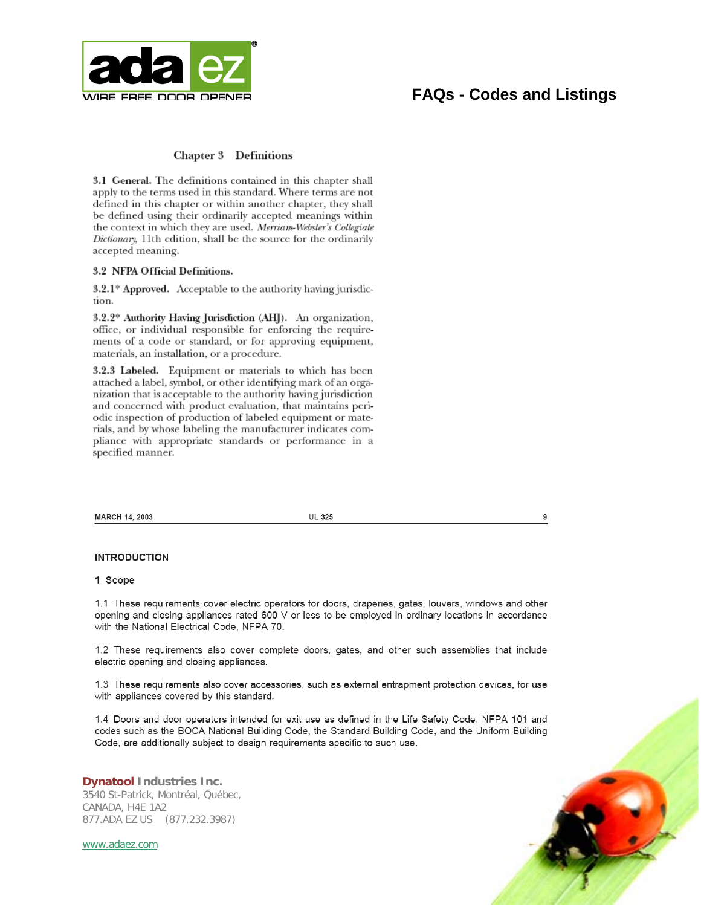

9

#### **Chapter 3** Definitions

3.1 General. The definitions contained in this chapter shall apply to the terms used in this standard. Where terms are not defined in this chapter or within another chapter, they shall be defined using their ordinarily accepted meanings within the context in which they are used. Merriam-Webster's Collegiate Dictionary, 11th edition, shall be the source for the ordinarily accepted meaning.

#### 3.2 NFPA Official Definitions.

3.2.1\* Approved. Acceptable to the authority having jurisdiction.

3.2.2\* Authority Having Jurisdiction (AHJ). An organization, office, or individual responsible for enforcing the requirements of a code or standard, or for approving equipment, materials, an installation, or a procedure.

3.2.3 Labeled. Equipment or materials to which has been attached a label, symbol, or other identifying mark of an organization that is acceptable to the authority having jurisdiction and concerned with product evaluation, that maintains periodic inspection of production of labeled equipment or materials, and by whose labeling the manufacturer indicates compliance with appropriate standards or performance in a specified manner.

MARCH 14, 2003

**UL 325** 

**INTRODUCTION** 

#### 1 Scope

1.1 These requirements cover electric operators for doors, draperies, gates, louvers, windows and other opening and closing appliances rated 600 V or less to be employed in ordinary locations in accordance with the National Electrical Code, NFPA 70.

1.2 These requirements also cover complete doors, gates, and other such assemblies that include electric opening and closing appliances.

1.3 These requirements also cover accessories, such as external entrapment protection devices, for use with appliances covered by this standard.

1.4 Doors and door operators intended for exit use as defined in the Life Safety Code, NFPA 101 and codes such as the BOCA National Building Code, the Standard Building Code, and the Uniform Building Code, are additionally subject to design requirements specific to such use.

**Dynatool Industries Inc.** 3540 St-Patrick, Montréal, Québec, CANADA, H4E 1A2 877.ADA EZ US (877.232.3987)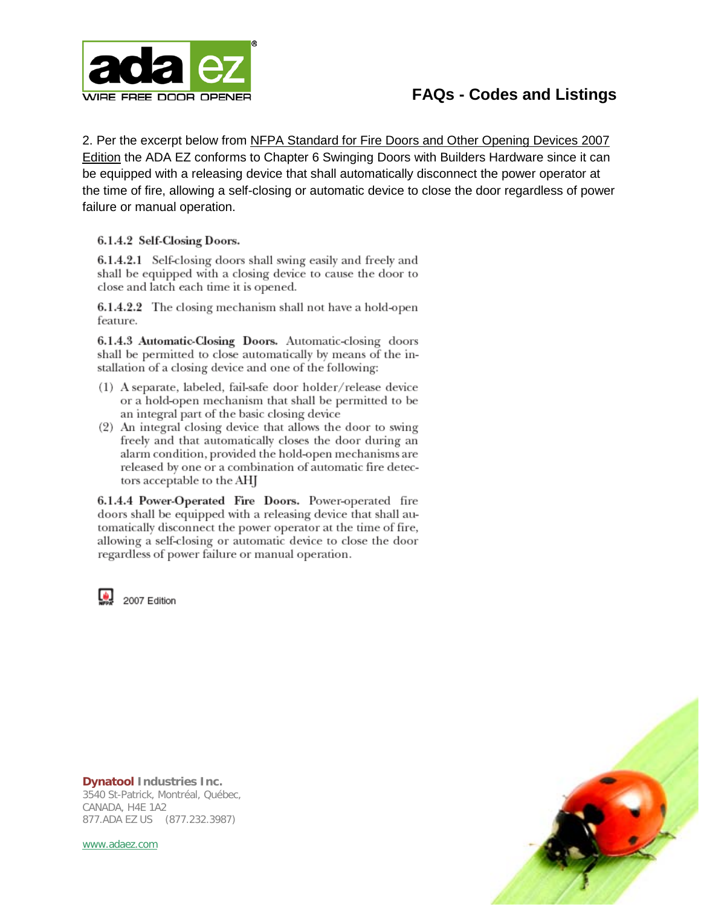

2. Per the excerpt below from NFPA Standard for Fire Doors and Other Opening Devices 2007 Edition the ADA EZ conforms to Chapter 6 Swinging Doors with Builders Hardware since it can be equipped with a releasing device that shall automatically disconnect the power operator at the time of fire, allowing a self-closing or automatic device to close the door regardless of power failure or manual operation.

#### 6.1.4.2 Self-Closing Doors.

6.1.4.2.1 Self-closing doors shall swing easily and freely and shall be equipped with a closing device to cause the door to close and latch each time it is opened.

6.1.4.2.2 The closing mechanism shall not have a hold-open feature.

6.1.4.3 Automatic-Closing Doors. Automatic-closing doors shall be permitted to close automatically by means of the installation of a closing device and one of the following:

- (1) A separate, labeled, fail-safe door holder/release device or a hold-open mechanism that shall be permitted to be an integral part of the basic closing device
- (2) An integral closing device that allows the door to swing freely and that automatically closes the door during an alarm condition, provided the hold-open mechanisms are released by one or a combination of automatic fire detectors acceptable to the AHJ

6.1.4.4 Power-Operated Fire Doors. Power-operated fire doors shall be equipped with a releasing device that shall automatically disconnect the power operator at the time of fire, allowing a self-closing or automatic device to close the door regardless of power failure or manual operation.

2007 Edition



**Dynatool Industries Inc.** 3540 St-Patrick, Montréal, Québec, CANADA, H4E 1A2 877.ADA EZ US (877.232.3987)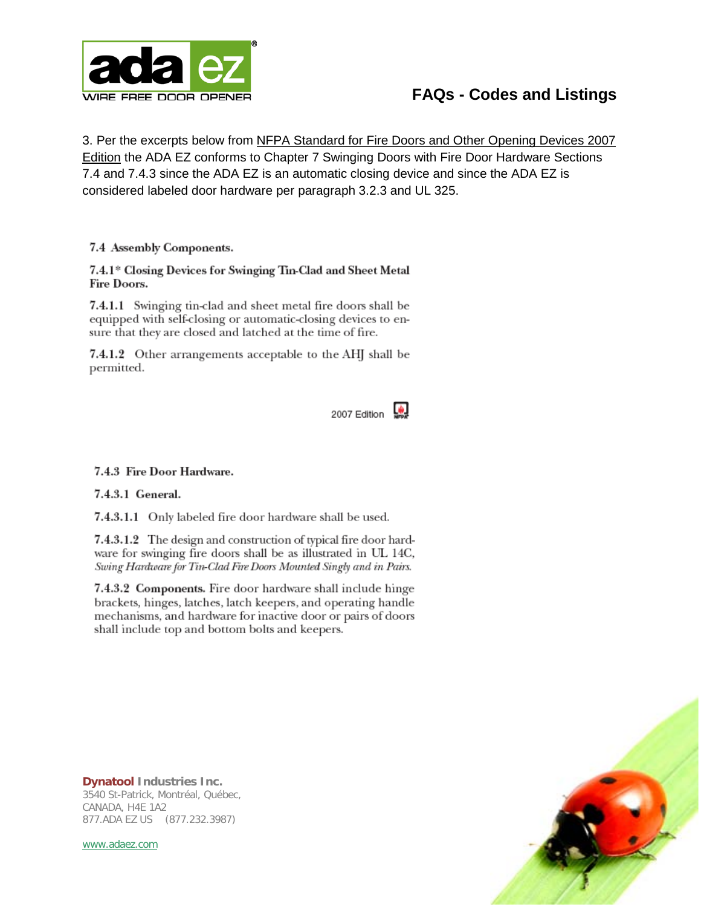

3. Per the excerpts below from NFPA Standard for Fire Doors and Other Opening Devices 2007 **Edition the ADA EZ conforms to Chapter 7 Swinging Doors with Fire Door Hardware Sections** 7.4 and 7.4.3 since the ADA EZ is an automatic closing device and since the ADA EZ is considered labeled door hardware per paragraph 3.2.3 and UL 325.

7.4 Assembly Components.

7.4.1\* Closing Devices for Swinging Tin-Clad and Sheet Metal Fire Doors.

7.4.1.1 Swinging tin-clad and sheet metal fire doors shall be equipped with self-closing or automatic-closing devices to ensure that they are closed and latched at the time of fire.

7.4.1.2 Other arrangements acceptable to the AHJ shall be permitted.



#### 7.4.3 Fire Door Hardware.

7.4.3.1 General.

7.4.3.1.1 Only labeled fire door hardware shall be used.

7.4.3.1.2 The design and construction of typical fire door hardware for swinging fire doors shall be as illustrated in UL 14C, Swing Hardware for Tin-Clad Fire Doors Mounted Singly and in Pairs.

7.4.3.2 Components. Fire door hardware shall include hinge brackets, hinges, latches, latch keepers, and operating handle mechanisms, and hardware for inactive door or pairs of doors shall include top and bottom bolts and keepers.

**Dynatool Industries Inc.** 3540 St-Patrick, Montréal, Québec, CANADA, H4E 1A2 877.ADA EZ US (877.232.3987)

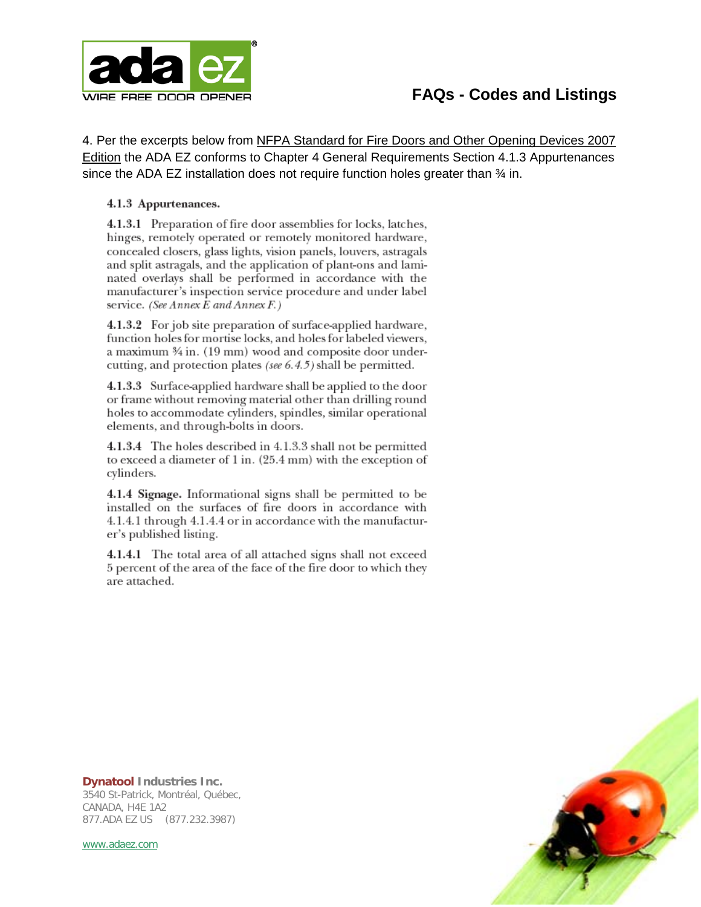

4. Per the excerpts below from NFPA Standard for Fire Doors and Other Opening Devices 2007 Edition the ADA EZ conforms to Chapter 4 General Requirements Section 4.1.3 Appurtenances since the ADA EZ installation does not require function holes greater than  $\frac{3}{4}$  in.

#### 4.1.3 Appurtenances.

4.1.3.1 Preparation of fire door assemblies for locks, latches, hinges, remotely operated or remotely monitored hardware, concealed closers, glass lights, vision panels, louvers, astragals and split astragals, and the application of plant-ons and laminated overlays shall be performed in accordance with the manufacturer's inspection service procedure and under label service. (See Annex E and Annex F.)

4.1.3.2 For job site preparation of surface-applied hardware, function holes for mortise locks, and holes for labeled viewers, a maximum 3⁄4 in. (19 mm) wood and composite door undercutting, and protection plates (see  $6.4.5$ ) shall be permitted.

4.1.3.3 Surface-applied hardware shall be applied to the door or frame without removing material other than drilling round holes to accommodate cylinders, spindles, similar operational elements, and through-bolts in doors.

4.1.3.4 The holes described in 4.1.3.3 shall not be permitted to exceed a diameter of 1 in. (25.4 mm) with the exception of cylinders.

4.1.4 Signage. Informational signs shall be permitted to be installed on the surfaces of fire doors in accordance with 4.1.4.1 through 4.1.4.4 or in accordance with the manufacturer's published listing.

4.1.4.1 The total area of all attached signs shall not exceed 5 percent of the area of the face of the fire door to which they are attached.



**Dynatool Industries Inc.** 3540 St-Patrick, Montréal, Québec, CANADA, H4E 1A2 877.ADA EZ US (877.232.3987)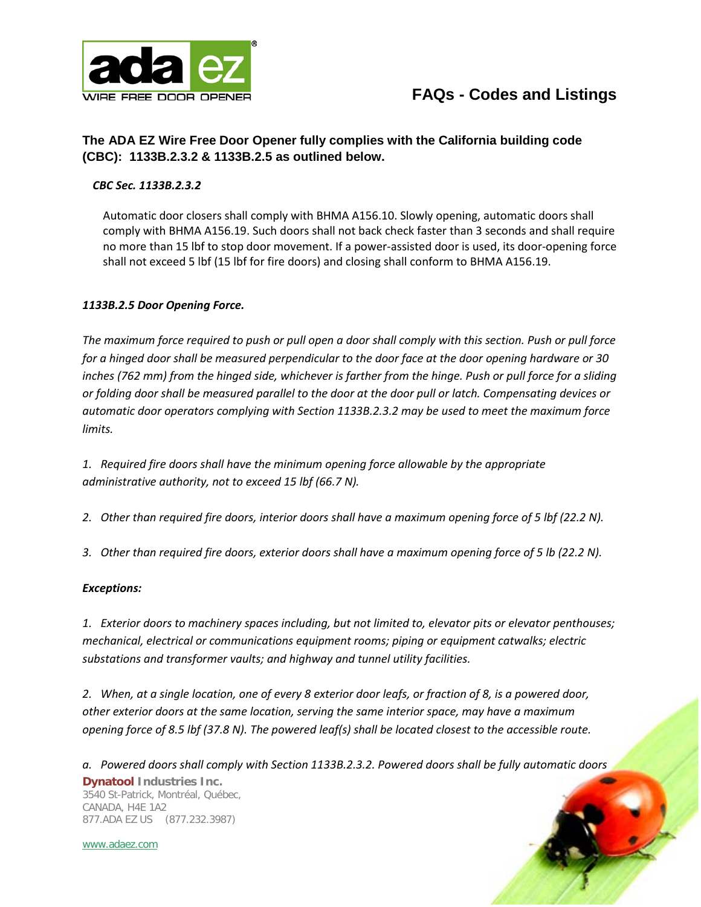

### **The ADA EZ Wire Free Door Opener fully complies with the California building code (CBC): 1133B.2.3.2 & 1133B.2.5 as outlined below.**

#### *CBC Sec. 1133B.2.3.2*

Automatic door closers shall comply with BHMA A156.10. Slowly opening, automatic doors shall comply with BHMA A156.19. Such doors shall not back check faster than 3 seconds and shall require no more than 15 lbf to stop door movement. If a power-assisted door is used, its door-opening force shall not exceed 5 lbf (15 lbf for fire doors) and closing shall conform to BHMA A156.19.

#### *1133B.2.5 Door Opening Force.*

*The maximum force required to push or pull open a door shall comply with this section. Push or pull force for a hinged door shall be measured perpendicular to the door face at the door opening hardware or 30 inches (762 mm) from the hinged side, whichever is farther from the hinge. Push or pull force for a sliding or folding door shall be measured parallel to the door at the door pull or latch. Compensating devices or automatic door operators complying with Section 1133B.2.3.2 may be used to meet the maximum force limits.*

*1. Required fire doors shall have the minimum opening force allowable by the appropriate administrative authority, not to exceed 15 lbf (66.7 N).*

*2. Other than required fire doors, interior doors shall have a maximum opening force of 5 lbf (22.2 N).*

*3. Other than required fire doors, exterior doors shall have a maximum opening force of 5 lb (22.2 N).* 

#### *Exceptions:*

*1. Exterior doors to machinery spaces including, but not limited to, elevator pits or elevator penthouses; mechanical, electrical or communications equipment rooms; piping or equipment catwalks; electric substations and transformer vaults; and highway and tunnel utility facilities.*

*2. When, at a single location, one of every 8 exterior door leafs, or fraction of 8, is a powered door, other exterior doors at the same location, serving the same interior space, may have a maximum opening force of 8.5 lbf (37.8 N). The powered leaf(s) shall be located closest to the accessible route.* 

**Dynatool Industries Inc.** 3540 St-Patrick, Montréal, Québec, CANADA, H4E 1A2 877.ADA EZ US (877.232.3987) *a. Powered doors shall comply with Section 1133B.2.3.2. Powered doors shall be fully automatic doors*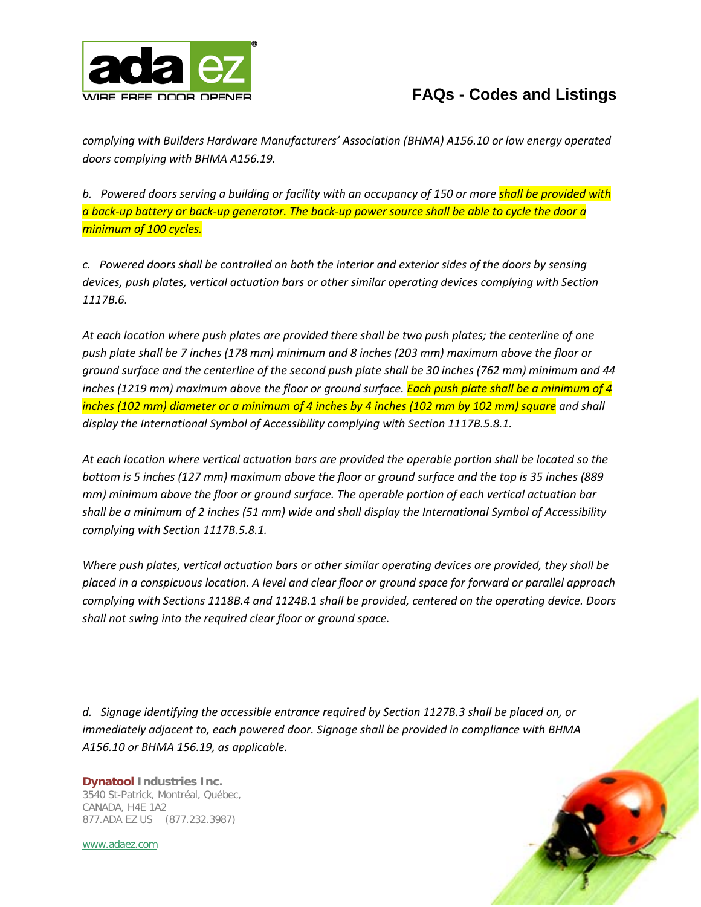

*complying with Builders Hardware Manufacturers' Association (BHMA) A156.10 or low energy operated doors complying with BHMA A156.19.* 

*b. Powered doors serving a building or facility with an occupancy of 150 or more shall be provided with a back-up battery or back-up generator. The back-up power source shall be able to cycle the door a minimum of 100 cycles.*

*c. Powered doors shall be controlled on both the interior and exterior sides of the doors by sensing devices, push plates, vertical actuation bars or other similar operating devices complying with Section 1117B.6.*

*At each location where push plates are provided there shall be two push plates; the centerline of one push plate shall be 7 inches (178 mm) minimum and 8 inches (203 mm) maximum above the floor or ground surface and the centerline of the second push plate shall be 30 inches (762 mm) minimum and 44 inches (1219 mm) maximum above the floor or ground surface. Each push plate shall be a minimum of 4 inches (102 mm) diameter or a minimum of 4 inches by 4 inches (102 mm by 102 mm) square and shall display the International Symbol of Accessibility complying with Section 1117B.5.8.1.*

*At each location where vertical actuation bars are provided the operable portion shall be located so the bottom is 5 inches (127 mm) maximum above the floor or ground surface and the top is 35 inches (889 mm) minimum above the floor or ground surface. The operable portion of each vertical actuation bar shall be a minimum of 2 inches (51 mm) wide and shall display the International Symbol of Accessibility complying with Section 1117B.5.8.1.*

*Where push plates, vertical actuation bars or other similar operating devices are provided, they shall be placed in a conspicuous location. A level and clear floor or ground space for forward or parallel approach complying with Sections 1118B.4 and 1124B.1 shall be provided, centered on the operating device. Doors shall not swing into the required clear floor or ground space.*

*d. Signage identifying the accessible entrance required by Section 1127B.3 shall be placed on, or immediately adjacent to, each powered door. Signage shall be provided in compliance with BHMA A156.10 or BHMA 156.19, as applicable.*

**Dynatool Industries Inc.** 3540 St-Patrick, Montréal, Québec, CANADA, H4E 1A2 877.ADA EZ US (877.232.3987)